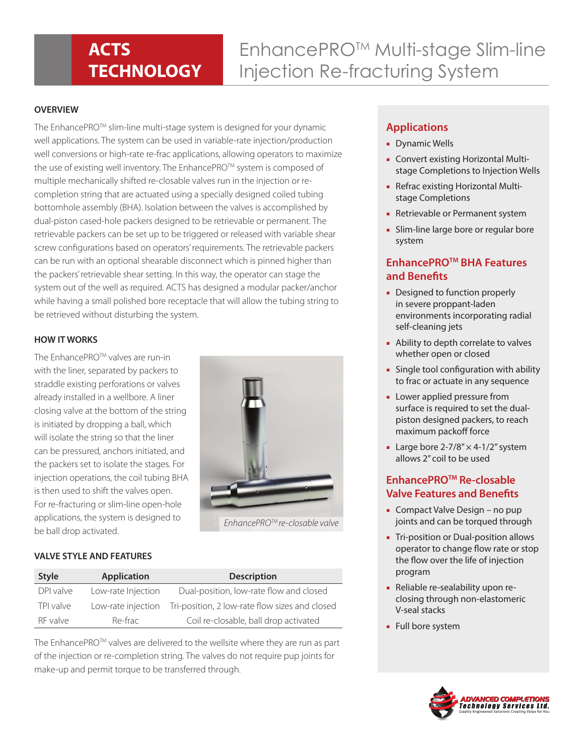## **ACTS TECHNOLOGY**

# EnhancePROTM Multi-stage Slim-line Injection Re-fracturing System

### **OVERVIEW**

The EnhancePROTM slim-line multi-stage system is designed for your dynamic well applications. The system can be used in variable-rate injection/production well conversions or high-rate re-frac applications, allowing operators to maximize the use of existing well inventory. The EnhancePRO™ system is composed of multiple mechanically shifted re-closable valves run in the injection or recompletion string that are actuated using a specially designed coiled tubing bottomhole assembly (BHA). Isolation between the valves is accomplished by dual-piston cased-hole packers designed to be retrievable or permanent. The retrievable packers can be set up to be triggered or released with variable shear screw configurations based on operators' requirements. The retrievable packers can be run with an optional shearable disconnect which is pinned higher than the packers' retrievable shear setting. In this way, the operator can stage the system out of the well as required. ACTS has designed a modular packer/anchor while having a small polished bore receptacle that will allow the tubing string to be retrieved without disturbing the system.

#### **HOW IT WORKS**

The EnhancePRO™ valves are run-in with the liner, separated by packers to straddle existing perforations or valves already installed in a wellbore. A liner closing valve at the bottom of the string is initiated by dropping a ball, which will isolate the string so that the liner can be pressured, anchors initiated, and the packers set to isolate the stages. For injection operations, the coil tubing BHA is then used to shift the valves open. For re-fracturing or slim-line open-hole applications, the system is designed to be ball drop activated.



*EnhancePROTM re-closable valve* 

#### **VALVE STYLE AND FEATURES**

| <b>Style</b> | <b>Application</b> | <b>Description</b>                             |
|--------------|--------------------|------------------------------------------------|
| DPI valve    | Low-rate Injection | Dual-position, low-rate flow and closed        |
| TPI valve    | Low-rate injection | Tri-position, 2 low-rate flow sizes and closed |
| RF valve     | Re-frac            | Coil re-closable, ball drop activated          |

The EnhancePRO<sup>TM</sup> valves are delivered to the wellsite where they are run as part of the injection or re-completion string. The valves do not require pup joints for make-up and permit torque to be transferred through.

## **Applications**

- Dynamic Wells
- Convert existing Horizontal Multistage Completions to Injection Wells
- Refrac existing Horizontal Multistage Completions
- Retrievable or Permanent system
- Slim-line large bore or regular bore system

## **EnhancePROTM BHA Features and Benefits**

- Designed to function properly in severe proppant-laden environments incorporating radial self-cleaning jets
- Ability to depth correlate to valves whether open or closed
- Single tool configuration with ability to frac or actuate in any sequence
- Lower applied pressure from surface is required to set the dualpiston designed packers, to reach maximum packoff force
- Large bore  $2-7/8$ "  $\times$  4-1/2" system allows 2" coil to be used

## **EnhancePROTM Re-closable Valve Features and Benefits**

- Compact Valve Design no pup joints and can be torqued through
- Tri-position or Dual-position allows operator to change flow rate or stop the flow over the life of injection program
- Reliable re-sealability upon reclosing through non-elastomeric V-seal stacks
- Full bore system